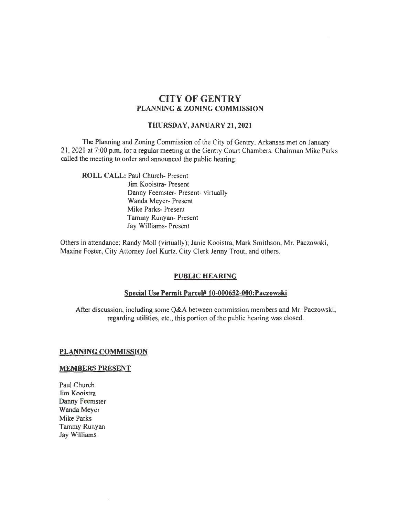# CITY OF GENTRY PLANNING & ZONING COMMISSION

## THURSDAY, JANUARY 21,2021

The Planning and Zoning Commission of the City of Gentry, Arkansas met on January 21, 2021 at 7:00 p.m. for a regular meeting at the Gentry Court Chambers. Chairman Mike Parks called the meeting to order and announced the public hearing:

ROLL CALL: Paul Church- Present Jim Kooistra- Present Danny Feemster- Present- virtually Wanda Meyer- Present Mike Parks- Present Tammy Runyan- Present Jay Williams- Present

Others in attendance: Randy Moll (virtually); Janie Kooistra, Mark Smithson, Mr. Paczowski, Maxine Foster, City Attorney Joel Kurtz. City Clerk Jenny Trout. and others.

### PUBLIC HEARING

#### Special Use Permit Parcel# 10-000652-000:Paczowski

After discussion, including some Q&A between commission members and Mr. Paczowski, regarding utilities, etc., this portion of the public hearing was closed.

## PLANNING COMMISSION

#### MEMBERS PRESENT

Paul Church Jim Kooistra Danny Feemster Wanda Meyer Mike Parks Tammy Runyan Jay Williams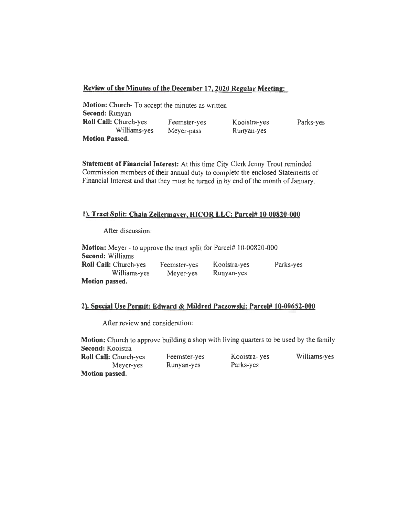# Review of the Minutes of the December 17,2020 Regular Meeting:

| Motion: Church-To accept the minutes as written |              |              |           |
|-------------------------------------------------|--------------|--------------|-----------|
| <b>Second: Runyan</b>                           |              |              |           |
| Roll Call: Church-yes                           | Feemster-yes | Kooistra-yes | Parks-yes |
| Williams-yes                                    | Meyer-pass   | Runyan-yes   |           |
| <b>Motion Passed.</b>                           |              |              |           |

Statement of Financial Interest: At this time City Clerk Jenny Trout reminded Commission members of their annual duty to complete the enclosed Statements of Financial Interest and that they must be turned in by end of the month of January.

# 1). Tract Split: Chaia Zellermayer, HICOR LLC: Parcel# 10-00820-000

After discussion:

| <b>Motion:</b> Meyer - to approve the tract split for Parcel# 10-00820-000 |              |              |           |
|----------------------------------------------------------------------------|--------------|--------------|-----------|
| <b>Second: Williams</b>                                                    |              |              |           |
| Roll Call: Church-yes                                                      | Feemster-yes | Kooistra-yes | Parks-yes |
| Williams-yes                                                               | Meyer-yes    | Runyan-yes   |           |
| Motion passed.                                                             |              |              |           |

# 2). Special Use Permit: Edward & Mildred Paczowski: Parcel# 10-00652-000

After review and consideration:

Motion: Church to approve building a shop with living quarters to be used by the family Second: Kooistra

| <b>Roll Call: Church-yes</b> | Feemster-yes | Kooistra- yes | Williams-yes |
|------------------------------|--------------|---------------|--------------|
| Meyer-yes                    | Runyan-yes   | Parks-yes     |              |
| Motion passed.               |              |               |              |